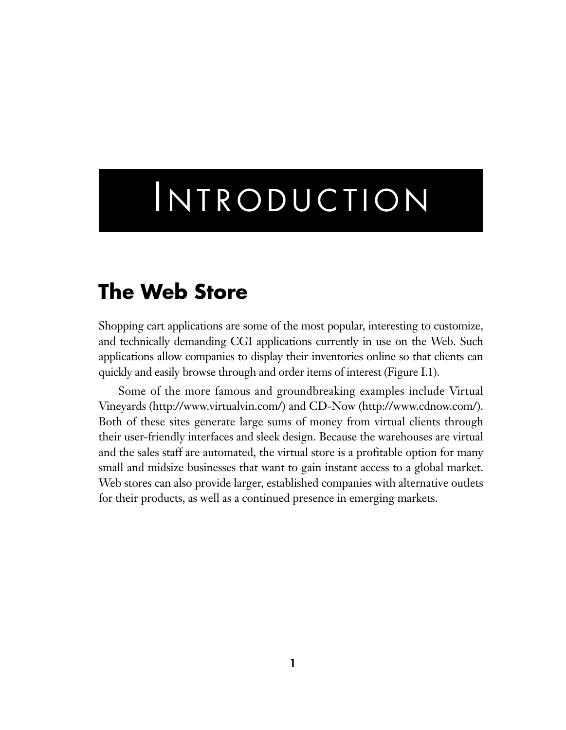# **INTRODUCTION**

## **The Web Store**

Shopping cart applications are some of the most popular, interesting to customize, and technically demanding CGI applications currently in use on the Web. Such applications allow companies to display their inventories online so that clients can quickly and easily browse through and order items of interest (Figure I.1).

Some of the more famous and groundbreaking examples include Virtual Vineyards (http://www.virtualvin.com/) and CD-Now (http://www.cdnow.com/). Both of these sites generate large sums of money from virtual clients through their user-friendly interfaces and sleek design. Because the warehouses are virtual and the sales staff are automated, the virtual store is a profitable option for many small and midsize businesses that want to gain instant access to a global market. Web stores can also provide larger, established companies with alternative outlets for their products, as well as a continued presence in emerging markets.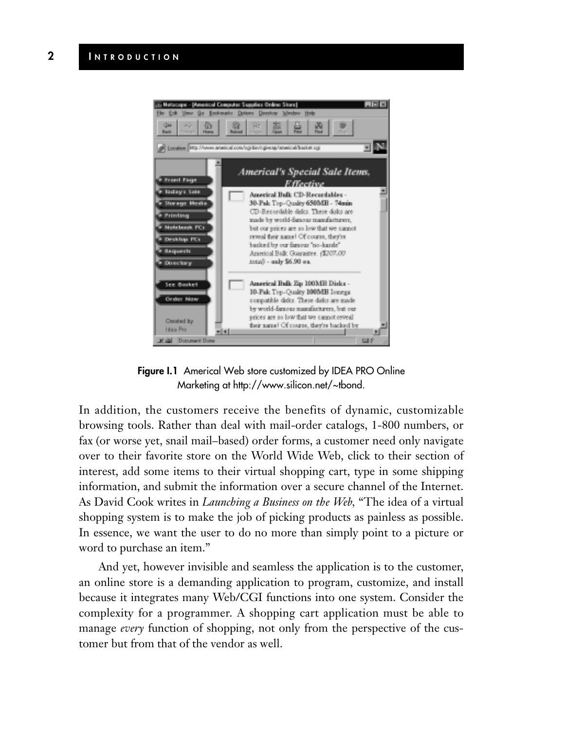

**Figure I.1** Americal Web store customized by IDEA PRO Online Marketing at http://www.silicon.net/~tbond.

In addition, the customers receive the benefits of dynamic, customizable browsing tools. Rather than deal with mail-order catalogs, 1-800 numbers, or fax (or worse yet, snail mail–based) order forms, a customer need only navigate over to their favorite store on the World Wide Web, click to their section of interest, add some items to their virtual shopping cart, type in some shipping information, and submit the information over a secure channel of the Internet. As David Cook writes in *Launching a Business on the Web,* "The idea of a virtual shopping system is to make the job of picking products as painless as possible. In essence, we want the user to do no more than simply point to a picture or word to purchase an item."

And yet, however invisible and seamless the application is to the customer, an online store is a demanding application to program, customize, and install because it integrates many Web/CGI functions into one system. Consider the complexity for a programmer. A shopping cart application must be able to manage *every* function of shopping, not only from the perspective of the customer but from that of the vendor as well.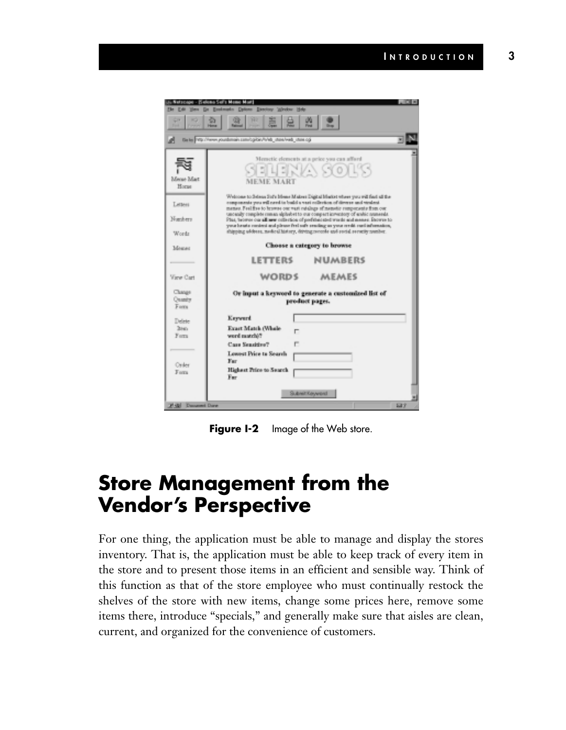|                                            | icas Sali's Mome Mart                                                                                                                                                                                                                                                                                                                                                                                                 |      |  |
|--------------------------------------------|-----------------------------------------------------------------------------------------------------------------------------------------------------------------------------------------------------------------------------------------------------------------------------------------------------------------------------------------------------------------------------------------------------------------------|------|--|
| deads Dylon Discloy Wrdor Hde<br>œ         |                                                                                                                                                                                                                                                                                                                                                                                                                       |      |  |
| 崑<br><b>Home</b>                           |                                                                                                                                                                                                                                                                                                                                                                                                                       |      |  |
|                                            | Bate 19://www.youtbrightprojectiv/4/46_des/web_des.cg                                                                                                                                                                                                                                                                                                                                                                 |      |  |
| Mense Mart<br>Horse<br><b>Гиганет</b>      | Memetic elements at a price you can afford<br>카지스 SOL'S<br><b>MEME MART</b><br>Webcome to Belessa Staffe Memo Makers Digital Market where you will find all the<br>components you will cered to build a vest collection of diverse and violent.                                                                                                                                                                       |      |  |
| Næken<br>Words                             | mense. Feel five to brawne one want retaings of mensetic compensatio from our<br>uncerally complete mines abiliabet to our compact inwardors of endic numerals.<br>Plus, browns our all new nationless of preferenced words and mense. Incores to<br>your breats content and please feel sufe resoling as your ceeds cordinformation,<br>shipping uddess, nasked history, driving records and sucial serucity number. |      |  |
| Mozar                                      | Chosse a category to browse                                                                                                                                                                                                                                                                                                                                                                                           |      |  |
|                                            | <b>LETTERS</b><br><b>NUMBERS</b>                                                                                                                                                                                                                                                                                                                                                                                      |      |  |
| View Cart                                  | <b>WORDS</b><br><b>MEMES</b>                                                                                                                                                                                                                                                                                                                                                                                          |      |  |
| Clusge<br><b>Coasis</b><br>Form            | Or input a keyword to generate a customized list of<br>product pages.                                                                                                                                                                                                                                                                                                                                                 |      |  |
| Delete<br>Inter-<br>Form.<br>Onler<br>Form | <b>Keyword</b><br>Exart Match (Whole<br>Túbban brev<br>Case Sensitive?<br><b>Lowest Price to Search</b><br>Far.<br>Highest Price to Search<br>Far.                                                                                                                                                                                                                                                                    |      |  |
|                                            | Submit Koryenst                                                                                                                                                                                                                                                                                                                                                                                                       | 쁴    |  |
| Fight Document Dane                        |                                                                                                                                                                                                                                                                                                                                                                                                                       | 5.37 |  |

**Figure I-2** Image of the Web store.

### **Store Management from the Vendor's Perspective**

For one thing, the application must be able to manage and display the stores inventory. That is, the application must be able to keep track of every item in the store and to present those items in an efficient and sensible way. Think of this function as that of the store employee who must continually restock the shelves of the store with new items, change some prices here, remove some items there, introduce "specials," and generally make sure that aisles are clean, current, and organized for the convenience of customers.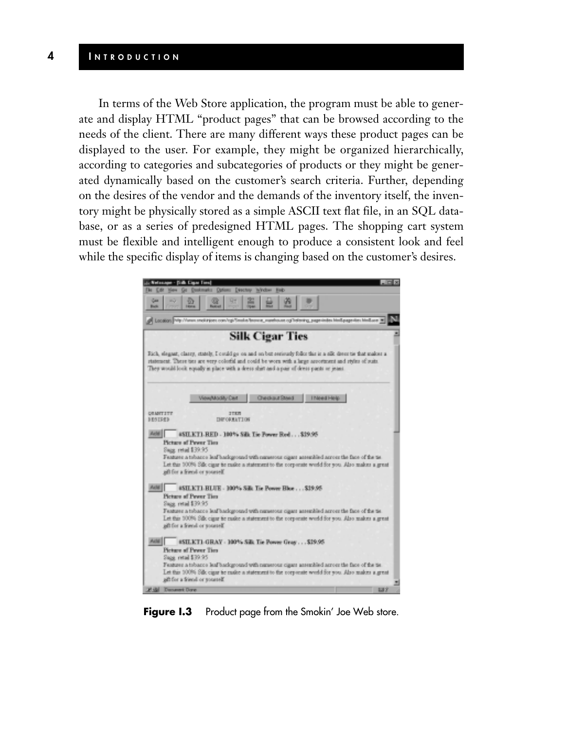#### **4 I NTRODUCTION**

In terms of the Web Store application, the program must be able to generate and display HTML "product pages" that can be browsed according to the needs of the client. There are many different ways these product pages can be displayed to the user. For example, they might be organized hierarchically, according to categories and subcategories of products or they might be generated dynamically based on the customer's search criteria. Further, depending on the desires of the vendor and the demands of the inventory itself, the inventory might be physically stored as a simple ASCII text flat file, in an SQL database, or as a series of predesigned HTML pages. The shopping cart system must be flexible and intelligent enough to produce a consistent look and feel while the specific display of items is changing based on the customer's desires.

| <b>Diffi: Cape Time</b><br><b>L. Nelson</b>                                                                                                                                                                                                                                                                                      |  |
|----------------------------------------------------------------------------------------------------------------------------------------------------------------------------------------------------------------------------------------------------------------------------------------------------------------------------------|--|
| Doukmarks Dations Directory<br>Widow.<br>The City<br><b>Bab</b>                                                                                                                                                                                                                                                                  |  |
| 寍<br>Gш<br><b>Buck</b>                                                                                                                                                                                                                                                                                                           |  |
| A Location With / Views smokingset com/rg/Smoke/browse_warehouse.cg/Indexing_page-index HimEagage-ites himEave 36                                                                                                                                                                                                                |  |
| <b>Silk Cigar Ties</b>                                                                                                                                                                                                                                                                                                           |  |
| Rick, elegant, classy, stately, I could go on and on but seriously follor this is a silk dress tie that makes a<br>statement. These ties are very colorful and could be worn with a large assortment and styles of suits.<br>They would look equally in place with a deers shirt and a pair of deers pants or jeans.             |  |
| <b>Checksus Street</b><br>View/Modify Cart<br>I hiered Help                                                                                                                                                                                                                                                                      |  |
| <b>DRAMTITE</b><br>27375<br><b>BESTREE</b><br><b><i>DRFORWATION</i></b>                                                                                                                                                                                                                                                          |  |
| #SILKT1-RED - 100% Silk Tie Power Red \$19.95<br>Picture of Pewer Ties<br>Sugg. retail \$39.95<br>Feature a tebacco leaf background with numerous sigant assembled across the face of the tie<br>Let this 100% Silk cigar to make a statement to the corporate world for you. Also makes a great<br>all for a friend or sometel. |  |
| #SILKT1-RLUE - 100% Silk Tie Power Blue \$19.95<br>Picture of Pewer Ties<br>Sugg. retail \$39.95                                                                                                                                                                                                                                 |  |
| Feature a tobacco leaf background with numerous cigan assembled across the face of the tie.<br>Let this 100% Silk cause to raske a statement to the corporate world for you. Also makes a great<br>all for a friend or someself.                                                                                                 |  |
| Acht  <br>#SILKT1-GRAY - 100% Silk Tie Power Gray \$19.95<br>Picture of Pewer Ties<br>Sape, retail \$39.95                                                                                                                                                                                                                       |  |
| Feature a troacce leaf background with nurserous cigant assembled across the face of the tie.<br>Let this 100% Silk cigar to raske a statement to the corporate world for you. Also makes a great<br>aft for a friend or yousself.                                                                                               |  |
| Danamet Days<br>637                                                                                                                                                                                                                                                                                                              |  |

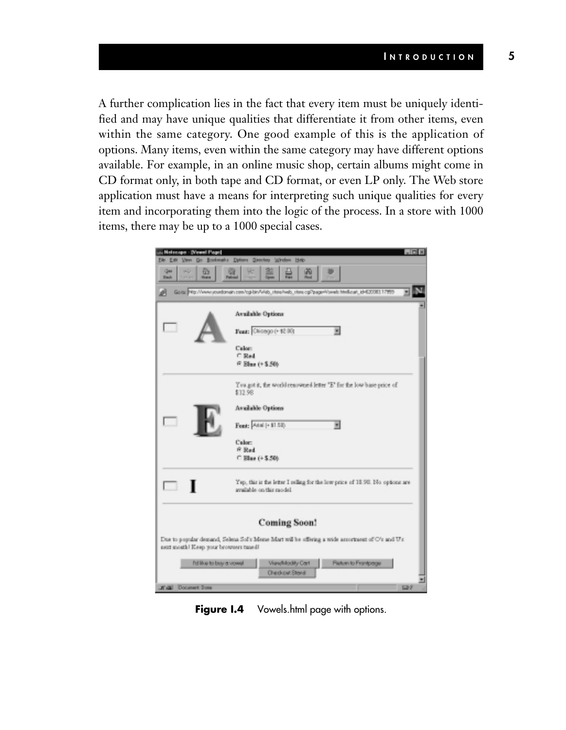A further complication lies in the fact that every item must be uniquely identified and may have unique qualities that differentiate it from other items, even within the same category. One good example of this is the application of options. Many items, even within the same category may have different options available. For example, in an online music shop, certain albums might come in CD format only, in both tape and CD format, or even LP only. The Web store application must have a means for interpreting such unique qualities for every item and incorporating them into the logic of the process. In a store with 1000 items, there may be up to a 1000 special cases.

| $\Box$<br>i Heiseape - (Vewel Page)                                                                                                      |                                                                                                          |  |  |
|------------------------------------------------------------------------------------------------------------------------------------------|----------------------------------------------------------------------------------------------------------|--|--|
| Ven Do Bookmake Dators Geoches Window Hob-<br><b>Eller</b> Eldit                                                                         |                                                                                                          |  |  |
| Que<br>囪<br>僻<br>69<br>a.<br><b>Black</b><br><b>Humor</b><br><b>Falcout</b><br><b>Service</b>                                            |                                                                                                          |  |  |
| Gotto: 40. Viewe youtdonain com/op/devVeldo_state/wdo_state.op/"page@oweb.htmll.cari_id=52008317995<br>ø                                 |                                                                                                          |  |  |
|                                                                                                                                          | Available Options                                                                                        |  |  |
|                                                                                                                                          | Feat: Chicago (+ 校 00)<br>w                                                                              |  |  |
|                                                                                                                                          | Calor:                                                                                                   |  |  |
|                                                                                                                                          | C Red                                                                                                    |  |  |
|                                                                                                                                          | <sup>G</sup> Blue (+ \$.50)                                                                              |  |  |
|                                                                                                                                          | You got it, the world renowned letter "E" for the low base price of<br>\$12.98                           |  |  |
|                                                                                                                                          | <b>Available Options</b>                                                                                 |  |  |
|                                                                                                                                          |                                                                                                          |  |  |
|                                                                                                                                          | Font: Atal (+ \$1.53)<br>۰                                                                               |  |  |
|                                                                                                                                          | Calor:                                                                                                   |  |  |
|                                                                                                                                          | <b>R</b> Red                                                                                             |  |  |
|                                                                                                                                          | C Else (+ \$.50)                                                                                         |  |  |
|                                                                                                                                          | Yep, this is the letter I reling for the low price of 10.90. No options are<br>available on this randel. |  |  |
| <b>Coming Soon!</b>                                                                                                                      |                                                                                                          |  |  |
|                                                                                                                                          |                                                                                                          |  |  |
| Due to popular demand, Selena Sol's Meme Mart will be offering a wide assortment of O's and U's<br>next month! Keep your browners taned! |                                                                                                          |  |  |
| <b>Pletum to Frankpage</b><br>View/Modify Carl<br>I'd like to buy a vowel                                                                |                                                                                                          |  |  |
| Checkowt Bland                                                                                                                           |                                                                                                          |  |  |
|                                                                                                                                          |                                                                                                          |  |  |
| Kall Document Done<br><b>Land</b>                                                                                                        |                                                                                                          |  |  |

**Figure I.4** Vowels.html page with options.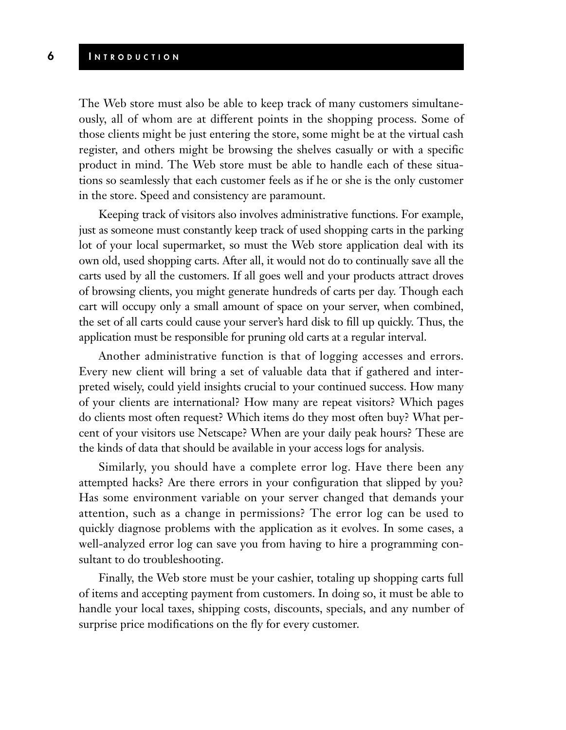#### **6 I NTRODUCTION**

The Web store must also be able to keep track of many customers simultaneously, all of whom are at different points in the shopping process. Some of those clients might be just entering the store, some might be at the virtual cash register, and others might be browsing the shelves casually or with a specific product in mind. The Web store must be able to handle each of these situations so seamlessly that each customer feels as if he or she is the only customer in the store. Speed and consistency are paramount.

Keeping track of visitors also involves administrative functions. For example, just as someone must constantly keep track of used shopping carts in the parking lot of your local supermarket, so must the Web store application deal with its own old, used shopping carts. After all, it would not do to continually save all the carts used by all the customers. If all goes well and your products attract droves of browsing clients, you might generate hundreds of carts per day. Though each cart will occupy only a small amount of space on your server, when combined, the set of all carts could cause your server's hard disk to fill up quickly. Thus, the application must be responsible for pruning old carts at a regular interval.

Another administrative function is that of logging accesses and errors. Every new client will bring a set of valuable data that if gathered and interpreted wisely, could yield insights crucial to your continued success. How many of your clients are international? How many are repeat visitors? Which pages do clients most often request? Which items do they most often buy? What percent of your visitors use Netscape? When are your daily peak hours? These are the kinds of data that should be available in your access logs for analysis.

Similarly, you should have a complete error log. Have there been any attempted hacks? Are there errors in your configuration that slipped by you? Has some environment variable on your server changed that demands your attention, such as a change in permissions? The error log can be used to quickly diagnose problems with the application as it evolves. In some cases, a well-analyzed error log can save you from having to hire a programming consultant to do troubleshooting.

Finally, the Web store must be your cashier, totaling up shopping carts full of items and accepting payment from customers. In doing so, it must be able to handle your local taxes, shipping costs, discounts, specials, and any number of surprise price modifications on the fly for every customer.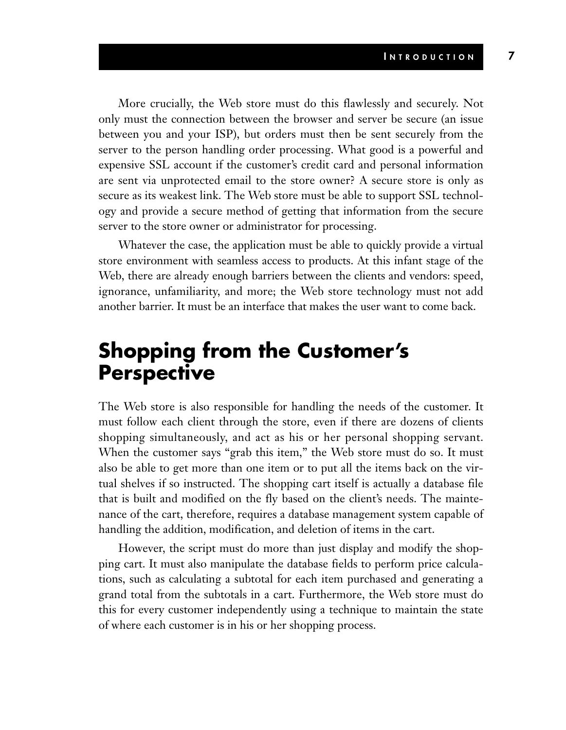More crucially, the Web store must do this flawlessly and securely. Not only must the connection between the browser and server be secure (an issue between you and your ISP), but orders must then be sent securely from the server to the person handling order processing. What good is a powerful and expensive SSL account if the customer's credit card and personal information are sent via unprotected email to the store owner? A secure store is only as secure as its weakest link. The Web store must be able to support SSL technology and provide a secure method of getting that information from the secure server to the store owner or administrator for processing.

Whatever the case, the application must be able to quickly provide a virtual store environment with seamless access to products. At this infant stage of the Web, there are already enough barriers between the clients and vendors: speed, ignorance, unfamiliarity, and more; the Web store technology must not add another barrier. It must be an interface that makes the user want to come back.

### **Shopping from the Customer's Perspective**

The Web store is also responsible for handling the needs of the customer. It must follow each client through the store, even if there are dozens of clients shopping simultaneously, and act as his or her personal shopping servant. When the customer says "grab this item," the Web store must do so. It must also be able to get more than one item or to put all the items back on the virtual shelves if so instructed. The shopping cart itself is actually a database file that is built and modified on the fly based on the client's needs. The maintenance of the cart, therefore, requires a database management system capable of handling the addition, modification, and deletion of items in the cart.

However, the script must do more than just display and modify the shopping cart. It must also manipulate the database fields to perform price calculations, such as calculating a subtotal for each item purchased and generating a grand total from the subtotals in a cart. Furthermore, the Web store must do this for every customer independently using a technique to maintain the state of where each customer is in his or her shopping process.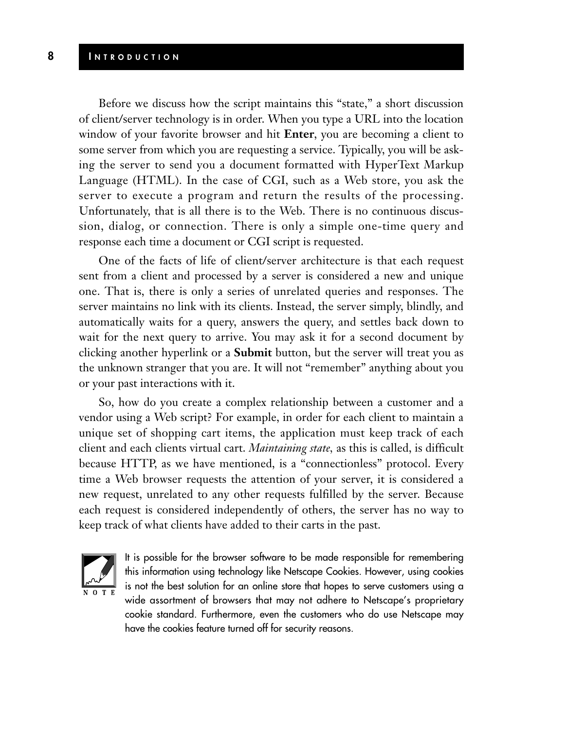Before we discuss how the script maintains this "state," a short discussion of client/server technology is in order. When you type a URL into the location window of your favorite browser and hit **Enter**, you are becoming a client to some server from which you are requesting a service. Typically, you will be asking the server to send you a document formatted with HyperText Markup Language (HTML). In the case of CGI, such as a Web store, you ask the server to execute a program and return the results of the processing. Unfortunately, that is all there is to the Web. There is no continuous discussion, dialog, or connection. There is only a simple one-time query and response each time a document or CGI script is requested.

One of the facts of life of client/server architecture is that each request sent from a client and processed by a server is considered a new and unique one. That is, there is only a series of unrelated queries and responses. The server maintains no link with its clients. Instead, the server simply, blindly, and automatically waits for a query, answers the query, and settles back down to wait for the next query to arrive. You may ask it for a second document by clicking another hyperlink or a **Submit** button, but the server will treat you as the unknown stranger that you are. It will not "remember" anything about you or your past interactions with it.

So, how do you create a complex relationship between a customer and a vendor using a Web script? For example, in order for each client to maintain a unique set of shopping cart items, the application must keep track of each client and each clients virtual cart. *Maintaining state,* as this is called, is difficult because HTTP, as we have mentioned, is a "connectionless" protocol. Every time a Web browser requests the attention of your server, it is considered a new request, unrelated to any other requests fulfilled by the server. Because each request is considered independently of others, the server has no way to keep track of what clients have added to their carts in the past.



It is possible for the browser software to be made responsible for remembering this information using technology like Netscape Cookies. However, using cookies is not the best solution for an online store that hopes to serve customers using a wide assortment of browsers that may not adhere to Netscape's proprietary cookie standard. Furthermore, even the customers who do use Netscape may have the cookies feature turned off for security reasons.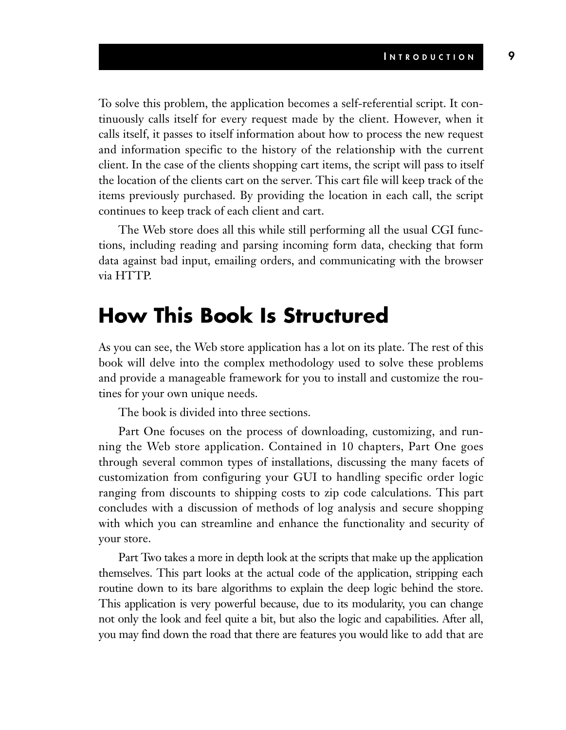To solve this problem, the application becomes a self-referential script. It continuously calls itself for every request made by the client. However, when it calls itself, it passes to itself information about how to process the new request and information specific to the history of the relationship with the current client. In the case of the clients shopping cart items, the script will pass to itself the location of the clients cart on the server. This cart file will keep track of the items previously purchased. By providing the location in each call, the script continues to keep track of each client and cart.

The Web store does all this while still performing all the usual CGI functions, including reading and parsing incoming form data, checking that form data against bad input, emailing orders, and communicating with the browser via HTTP.

### **How This Book Is Structured**

As you can see, the Web store application has a lot on its plate. The rest of this book will delve into the complex methodology used to solve these problems and provide a manageable framework for you to install and customize the routines for your own unique needs.

The book is divided into three sections.

Part One focuses on the process of downloading, customizing, and running the Web store application. Contained in 10 chapters, Part One goes through several common types of installations, discussing the many facets of customization from configuring your GUI to handling specific order logic ranging from discounts to shipping costs to zip code calculations. This part concludes with a discussion of methods of log analysis and secure shopping with which you can streamline and enhance the functionality and security of your store.

Part Two takes a more in depth look at the scripts that make up the application themselves. This part looks at the actual code of the application, stripping each routine down to its bare algorithms to explain the deep logic behind the store. This application is very powerful because, due to its modularity, you can change not only the look and feel quite a bit, but also the logic and capabilities. After all, you may find down the road that there are features you would like to add that are